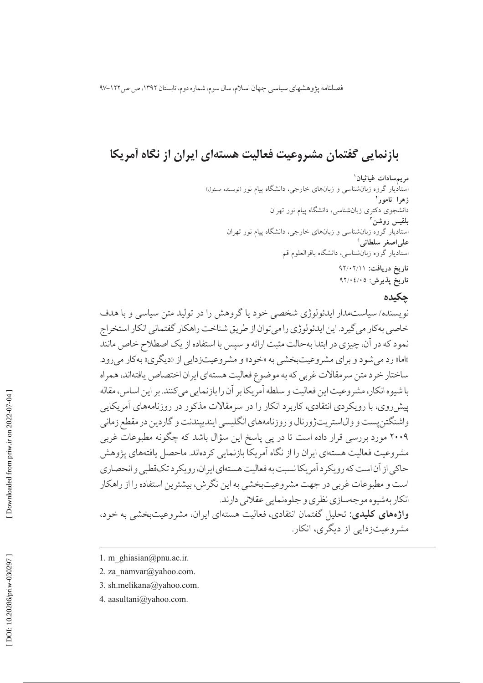فصلنامه پژوهشهای سیاسی جهان اسلام، سال سوم، شماره دوم، تابستان ۱۳۹۲، ص ص۱۲۲-۹۷

# بازنمایی گفتمان مشروعیت فعالیت هستهای ایران از نگاه آمریکا

مريمسادات غياثيان` استادیار گروه زبانشناسی و زبانهای خارجی، دانشگاه ییام نور (نویسنده مسئول) زهرا نامور<sup>٬</sup> ۔<br>دانشجوی دکتری زبانشناسی، دانشگاه پیام نور تھران بلقيس روشن استادیار گروه زبان شناسی و زبانهای خارجی، دانشگاه پیام نور تهران على اصغر سلطاني ' استادیار گروه زبانشناسی، دانشگاه باقرالعلوم قم تاریخ دریافت: ۹۲/۰۲/۱۱ تاريخ پذيرش: ٩٢/٠٤/٠٥

## حكىدە

نویسنده/ سیاستمدار ایدئولوژی شخصی خود یا گروهش را در تولید متن سیاسی و با هدف خاصی بهکار می گیرد. این ایدئولوژی را می توان از طریق شناخت راهکار گفتمانی انکار استخراج نمود که در آن، چیزی در ابتدا بهحالت مثبت ارائه و سیس با استفاده از یک اصطلاح خاص مانند «اما» رد می شود و بر ای مشر وعیتبخشی به «خود» و مشر وعیتزدایی از «دیگری» به کار می رود. ساختار خرد متن سرمقالات غربي كه به موضوع فعاليت هستهاى ايران اختصاص يافتهاند، همراه با شیوه انکار، مشروعیت این فعالیت و سلطه آمریکا بر آن را بازنمایی می کنند. بر این اساس، مقاله پیش روی، با رویکردی انتقادی، کاربرد انکار را در سرمقالات مذکور در روزنامههای آمریکایی واشنگتن يست و وال|ستريتژورنال و روزنامههاي انگليسي ايندييندنت و گاردين در مقطع زماني ۲۰۰۹ مورد بررسی قرار داده است تا در پی پاسخ این سؤال باشد که چگونه مطبوعات غربی مشروعیت فعالیت هستهای ایران را از نگاه آمریکا بازنمایی کردهاند. ماحصل یافتههای یژوهش حاکي از آن است که رو يکر د آمريکا نسبت به فعاليت هستهاي ايران، رو يکر د تکقطبي و انحصاري است و مطبوعات غربی در جهت مشروعیتبخشی به این نگرش، بیشترین استفاده را از راهکار انکار بهشیوه موجهسازی نظری و جلوهنمایی عقلانی دارند. **واژههای کلیدی:** تحلیل گفتمان انتقادی، فعالیت هستهای ایران، مشروعیتبخشی به خود، مشروعیتزدایی از دیگری، انکار.

<sup>1.</sup> m ghiasian@pnu.ac.ir.

<sup>2.</sup> za namvar@yahoo.com.

<sup>3.</sup> sh.melikana@yahoo.com.

<sup>4.</sup> aasultani@yahoo.com.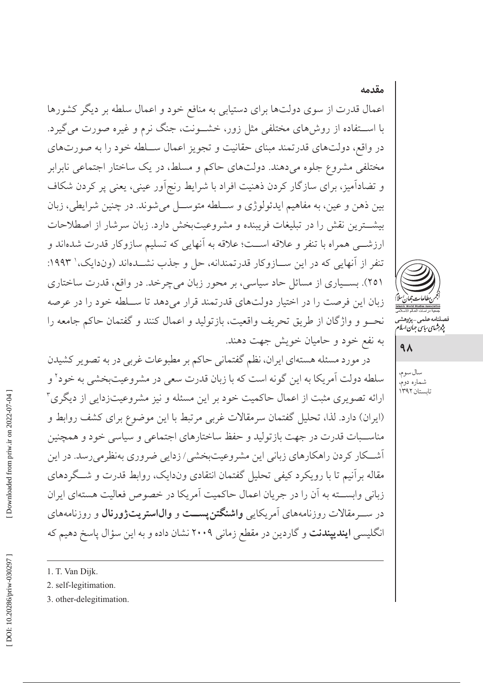# اعمال قدرت از سوی دولتها برای دستیابی به منافع خود و اعمال سلطه بر دیگر کشورها با اســتفاده از روشهای مختلفی مثل زور، خشــونت، جنگ نرم و غیره صورت میگیرد. در واقع، دولتهای قدرتمند مبنای حقانیت و تجویز اعمال ســلطه خود را به صورتهای مختلفی مشروع جلوه میدهند. دولتهای حاکم و مسلط، در یک ساختار اجتماعی نابرابر و تضادآمیز، برای سازگار کردن ذهنیت افراد با شرایط رنج اَور عینی، یعنی پر کردن شکاف بين ذهن و عين، به مفاهيم ايدئولوژي و سـلطه متوسـل مي شوند. در چنين شرايطي، زبان بيشترين نقش را در تبليغات فريبنده و مشروعيتبخش دارد. زبان سرشار از اصطلاحات ارزشـــي همراه با تنفر و علاقه اســـت؛ علاقه به آنهايي كه تسليم سازوكار قدرت شدهاند و تنفر از آنهایی که در این ســازوکار قدرتمندانه، حل و جذب نشــدهاند (وندایک، ' ۱۹۹۳: ۲۵۱). بسـیاری از مسائل حاد سیاسی، بر محور زبان میچرخد. در واقع، قدرت ساختاری زبان این فرصت را در اختیار دولتهای قدرتمند قرار می دهد تا ســلطه خود را در عرصه نحـو و واژگان از طريق تحريف واقعيت، بازتوليد و اعمال كنند و گفتمان حاكم جامعه را به نفع خود و حامیان خویش جهت دهند.

در مورد مسئله هستهاي ايران، نظم گفتماني حاكم بر مطبوعات غربي در به تصوير كشيدن سلطه دولت آمريكا به اين گونه است كه با زبان قدرت سعى در مشروعيتبخشي به خود<sup>٬</sup> و ارائه تصویری مثبت از اعمال حاکمیت خود بر این مسئله و نیز مشروعیتزدایی از دیگری ۳ (ایران) دارد. لذا، تحلیل گفتمان سرمقالات غربی مرتبط با این موضوع برای کشف روابط و مناسـبات قدرت در جهت بازتوليد و حفظ ساختارهاي اجتماعي و سياسي خود و همچنين أشــكار كردن راهكارهاي زباني اين مشروعيتبخشي/زدايي ضروري بهنظرميرسد. در اين مقاله برآنیم تا با رویکرد کیفی تحلیل گفتمان انتقادی وندایک، روابط قدرت و شـگردهای زباني وابســته به آن را در جريان اعمال حاكميت آمريكا در خصوص فعاليت هستهاى ايران در ســرمقالات روزنامههای آمریکایی واشنگتن پســت و والیاستریتژورنال و روزنامههای انگلیسی **ایندییندنت** و گاردین در مقطع زمانی ۲۰۰۹ نشان داده و به این سؤال یاسخ دهیم که



مقدمه

# $4<sub>A</sub>$

سال سوم، شماره دوم،<br>تابستان ۱۳۹۲

- 1. T. Van Dijk.
- 2. self-legitimation.
- 3. other-delegitimation.

صلنامە على<sub>مى – پژوهشه<br>پژوہش*ای ساس ج*ان *اسلا*</sub>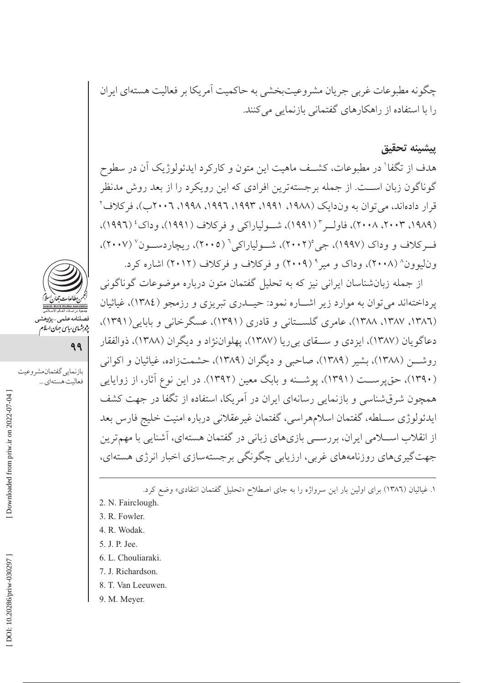چگونه مطبوعات غربي جريان مشروعيتبخشي به حاكميت أمريكا بر فعاليت هستهاي ايران را با استفاده از راهکارهای گفتمانی بازنمایی می کنند.

### يشينه تحقيق

هدف از تگفا' در مطبوعات، کشــف ماهیت این متون و کارکرد ایدئولوژیک آن در سطوح گوناگون زبان اســت. از جمله برجستهترین افرادی که این رویکرد را از بعد روش مدنظر قرار دادهاند، می توان به وندایک (۱۹۸۸، ۱۹۹۱، ۱۹۹۳، ۱۹۹۲، ۱۹۹۸، ۲۰۰۲ب)، فرکلاف ٌ (١٩٨٩، ٢٠٠٣، ٢٠٠٨)، فاوليه " (١٩٩١)، شيولياراكي و فركلاف (١٩٩١)، وداك' (١٩٩١)، ف کلاف و و داک (۱۹۹۷)، جي (۲۰۰۲)، شــولياراکي<sup>۶</sup> (۲۰۰۵)، ريچاردســون<sup>۷</sup> (۲۰۰۷)، وناییوون^ (۲۰۰۸)، وداک و میر° (۲۰۰۹) و فرکلاف و فرکلاف (۲۰۱۲) اشاره کرد.

از جمله زبان شناسان ایرانی نیز که به تحلیل گفتمان متون درباره موضوعات گوناگونی پرداختهاند می توان به موارد زیر اشـاره نمود: حیــدری تبریزی و رزمجو (١٣٨٤)، غیاثیان (١٣٨٦، ١٣٨٧، ١٣٨٨)، عامري گلســتاني و قادري (١٣٩١)، عسگرخاني و بابايي(١٣٩١)، دعاگويان (١٣٨٧)، ايزدي و ســـقاي بي ريا (١٣٨٧)، يهلواننژاد و ديگران (١٣٨٨)، ذوالفقار روشـــن (١٣٨٨)، بشير (١٣٨٩)، صاحبي و ديگران (١٣٨٩)، حشمتزاده، غياثيان و اكواني (۱۳۹۰)، حق پرســت (۱۳۹۱)، پوشــنه و بابک معین (۱۳۹۲). در این نوع آثار، از زوایایی همچون شرق شناسی و بازنمایی رسانهای ایران در آمریکا، استفاده از تگفا در جهت کشف ايدئولوژي سـلطه، گفتمان اسلامهراسي، گفتمان غيرعقلاني درباره امنيت خليج فارس بعد از انقلاب اســـلامی ایران، بررســـی بازیهای زبانی در گفتمان هستهای، آشنایی با مهمترین جهت گیریهای روزنامههای غربی، ارزیابی چگونگی برجستهسازی اخبار انرژی هستهای،

۱. غیاثیان (۱۳۸٦) برای اولین بار این سرواژه را به جای اصطلاح «تحلیل گفتمان انتقادی» وضع کرد.

- 2. N. Fairclough.
- 3. R. Fowler.
- 4. R. Wodak.
- 5. J. P. Jee.
- 6. L. Chouliaraki.
- 7. J. Richardson.
- 8. T. Van Leeuwen.
- 9. M. Meyer.



فصلنامەعلى<sub>مى –</sub>پژوهش<sub>و</sub><br>پژ*وہ<sup>ی</sup>مای بیای جمان ایلام* 

بازنمايي گفتمان مشروعيت

فعاليت هستهاي ...

99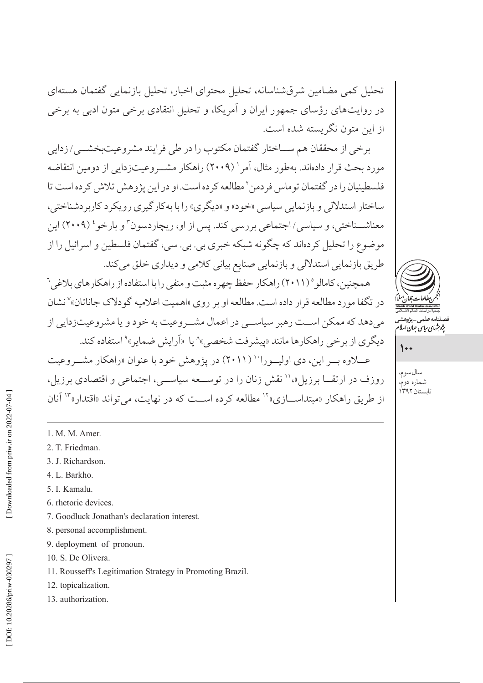تحلیل کمی مضامین شرقشناسانه، تحلیل محتوای اخبار، تحلیل بازنمایی گفتمان هستهای در روایتهای رؤسای جمهور ایران و آمریکا، و تحلیل انتقادی برخی متون ادبی به برخی از این متون نگریسته شده است.

برخي از محققان هم ســاختار گفتمان مكتوب را در طي فرايند مشروعيتبخشــي/زدايي مورد بحث قرار دادهاند. بهطور مثال، آمر' (۲۰۰۹) راهكار مشـروعيتزدايي از دومين انتقاضه فلسطينيان را در گفتمان توماس فردمن ّ مطالعه كرده است. او در اين پژوهش تلاش كرده است تا ساختار استدلالي و بازنمايي سياسي «خود» و «ديگري» را با بهكارگيري رويكر د كاربر دشناختي، معناشــناختی، و سیاسی/اجتماعی بررسی کند. پس از او، ریچاردسون<sup>۳</sup> و بارخو<sup>،</sup> (۲۰۰۹) این موضوع را تحلیل کردهاند که چگونه شبکه خبری بی. بی. سی، گفتمان فلسطین و اسرائیل را از طریق بازنمایی استدلالی و بازنمایی صنایع بیانی کلامی و دیداری خلق می کند.

همچنین، کامالو ° (۲۰۱۱) راهکار حفظ چهر ه مثبت و منفی را با استفاده از راهکارهای بلاغی<sup>۲</sup> در تگفا مورد مطالعه قرار داده است. مطالعه او بر روی «اهمیت اعلامیه گودلاک جاناتان»<sup>۷</sup> نشان مي دهد كه ممكن اســت رهبر سياســي در اعمال مشــر وعيت به خود و يا مشر وعيتزدايي از دیگری از برخی راهکارها مانند «پیشرفت شخصی»^ یا «اَرایش ضمایر»° استفاده کند. عبلاوه سر این، دی اولیهورا<sup>۱۰</sup> (۲۰۱۱) در پژوهش خود با عنوان «راهکار مشیروعیت

روزف در ارتقــا برزیل»،'' نقش زنان را در توســعه سیاســی، اجتماعی و اقتصادی برزیل، از طریق راهکار «مبتداســـازی»<sup>۱۲</sup> مطالعه کرده اســت که در نهایت، می تواند «اقتدار»<sup>۱۳</sup> آنان

- 1. M. M. Amer.
- 2. T. Friedman.
- 3. J. Richardson.
- 4. L. Barkho.
- 5. I. Kamalu.
- 6. rhetoric devices.
- 7. Goodluck Jonathan's declaration interest.
- 8. personal accomplishment.
- 9. deployment of pronoun.
- 10. S. De Olivera.
- 11. Rousseff's Legitimation Strategy in Promoting Brazil.
- 12. topicalization.
- 13. authorization.



پژو شهای سایت جهان اسلا

 $\mathcal{L}$ 

سال سوم، شماره دوم، تابستان ٣٩٢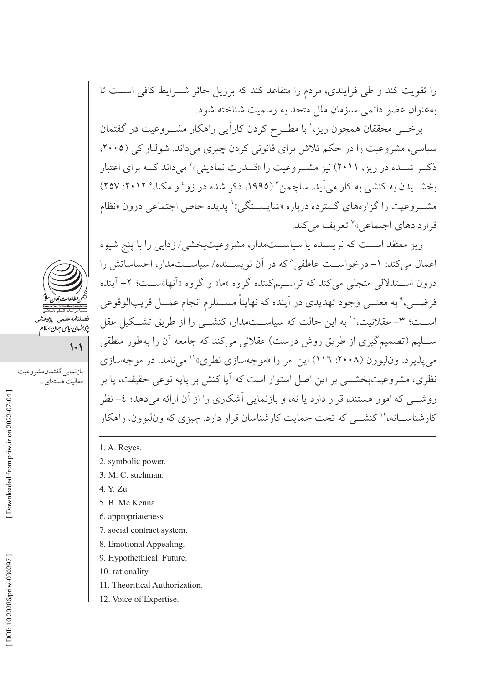را تقویت کند و طی فرایندی، مردم را متقاعد کند که برزیل حائز شــرایط کافی اســت تا بهعنوان عضو دائمی سازمان ملل متحد به رسمیت شناخته شود.

برخــی محققان همچون ریز،' با مطــرح کردن کاراًیی راهکار مشــروعیت در گفتمان سیاسی، مشروعیت را در حکم تلاش برای قانونی کردن چیزی میداند. شولیاراکی (۲۰۰۵، ذک و شـــده در ریز، ۲۰۱۱) نیز مشــروعیت را «قــدرت نمادینی» می داند کـــه برای اعتبار بخشــیدن به کنشی به کار می]ید. ساچمن ّ (۱۹۹۵، ذکر شده در زو<sup>، و</sup> و مکنا،° ۲۰۱۲: ۲۵۷) مشــروعيت را گزارههاي گسترده درباره «شايســتگي»<sup>٦</sup> يديده خاص اجتماعي درون «نظام قراردادهای اجتماعی»<sup>۷</sup> تعریف می کند.

ریز معتقد اســت که نویسنده یا سیاســتمدار، مشروعیتبخشی/ زدایی را با پنج شیوه اعمال می کند: ١- درخواست عاطفی^ که در آن نویســنده/ سیاســتمدار، احساساتش را درون اســـتدلالي متجلَّى مي كند كه ترســـيمكننده گروه «ما» و گروه «اَنها»ســـت؛ ٢- اَينده فرضـــي،° به معنـــي وجود تهديدي در اَينده كه نهايتاً مســـتلزم انجام عمـــل قريبالوقوعي اســت؛ ٣- عقلانیت، `` به این حالت که سیاســتمدار، کنشــی را از طریق تشــکیل عقل ســليم (تصميم گيري از طريق روش درست) عقلاني مي كند كه جامعه آن را بهطور منطقي مي يذير د. وناليوون (٢٠٠٨: ١١٦) اين امر را «موجهسازي نظري»'' مي نامد. در موجهسازي نظری، مشروعیتبخشــی بر این اصل استوار است که آیا کنش بر پایه نوعی حقیقت، یا بر روشـــی که امور هستند، قرار دارد یا نه، و بازنمایی آشکاری را از آن ارائه میدهد؛ ٤- نظر کار شناســـانه، ۱<sup>۲</sup> کنشـــ<sub>ی</sub> که تحت حمایت کار شناسان قرار دارد. چیزی که و نالبوون، راهکار

- 1. A. Reyes.
- 2. symbolic power.
- 3. M. C. suchman.
- 4. Y. Zu.
- 5. B. Mc Kenna.
- 6. appropriateness.
- 7. social contract system.
- 8. Emotional Appealing.
- 9. Hypothethical Future.
- 10. rationality.
- 11. Theoritical Authorization.
- 12. Voice of Expertise.



پژو شهای سایپی جهان اسلام

بازنمايي گفتمان مشر وعيت

فعاليت هستهاي ...

 $\left| \cdot \right|$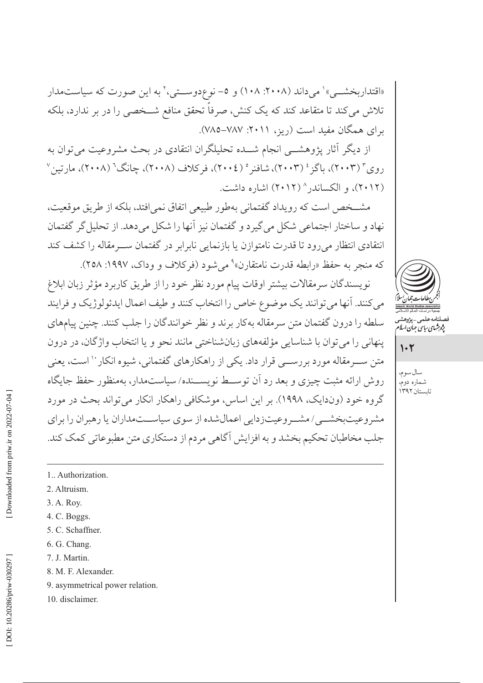«اقتداربخشــی»' می داند (۲۰۰۸: ۱۰۸) و ۵– نوع دوســتی،' به این صورت که سیاستمدار تلاش میکند تا متقاعد کند که یک کنش، صرفاً تحقق منافع شــخصی را در بر ندارد، بلکه برای همگان مفید است (ریز، ۲۰۱۱: ۷۸۷–۷۸۵).

از دیگر آثار پژوهشــی انجام شـــده تحلیلگران انتقادی در بحث مشروعیت می توان به روی ٔ (۲۰۰۳)، باگز ٔ (۲۰۰۳)، شافنر ْ (۲۰۰٤)، فرکلاف (۲۰۰۸)، چانگ ْ (۲۰۰۸)، مارتین ْ (۲۰۱۲)، و الکساندر ۲۰۱۲) اشاره داشت.

مشخص است که رویداد گفتمانی بهطور طبیعی اتفاق نمی افتد، بلکه از طریق موقعیت، نهاد و ساختار اجتماعي شكل مي گيرد و گفتمان نيز آنها را شكل مي دهد. از تحليل گر گفتمان انتقادي انتظار مي رود تا قدرت نامتوازن يا بازنمايي نابرابر در گفتمان ســرمقاله را كشف كند که منجر به حفظ «رابطه قدرت نامتقارن» می شود (فرکلاف و وداک، ۱۹۹۷: ۲۵۸).

نويسندگان سرمقالات بيشتر اوقات پيام مورد نظر خود را از طريق كاربرد مؤثر زبان ابلاغ مي كنند. آنها مي توانند يك موضوع خاص را انتخاب كنند و طيف اعمال ايدئولوژيك و فرايند سلطه را درون گفتمان متن سرمقاله بهکار برند و نظر خوانندگان را جلب کنند. چنین پیامهای پنهانی را می توان با شناسایی مؤلفههای زبانشناختی مانند نحو و یا انتخاب واژگان، در درون متن ســرمقاله مورد بررســي قرار داد. يكي از راهكارهاي گفتماني، شيوه انكار `` است، يعني روش ارائه مثبت چیزی و بعد رد آن توسـط نویســنده/سیاستمدار، بهمنظور حفظ جایگاه گروه خود (وندایک، ۱۹۹۸). بر این اساس، موشکافی راهکار انکار می تواند بحث در مورد مشر وعیتبخشـــی/ مشـــر وعیتزدایی اعمال شده از سوی سیاســـتمداران یا رهبران را برای جلب مخاطبان تحکیم بخشد و به افزایش آگاهی مردم از دستکاری متن مطبوعاتی کمک کند.

صلنامەعلى<sub>مى—پژ</sub>وھشہ<br>پ*ژوہ<sup>ش</sup>ای ساس جمان اسلا* 

 $1.7$ 

سال سوم، شماره دوم، تابستان ۱۳۹۲

- 1. Authorization.
- 2. Altruism.
- 3. A. Roy.
- 4. C. Boggs.
- 5. C. Schaffner.
- 6. G. Chang.
- 7. J. Martin.
- 8. M. F. Alexander.
- 9. asymmetrical power relation.
- 10. disclaimer.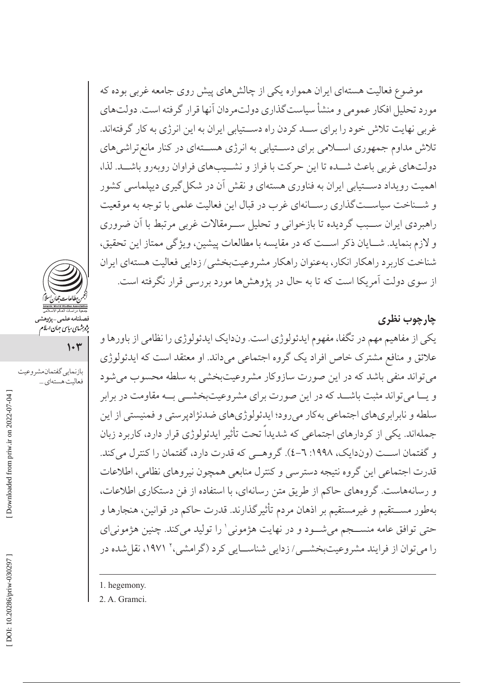موضوع فعالیت هستهای ایران همواره یکی از چالشهای پیش روی جامعه غربی بوده که مورد تحلیل افکار عمومی و منشأ سیاستگذاری دولتمر دان آنها قرار گرفته است. دولتهای غربی نهایت تلاش خود را برای ســد کردن راه دســتیابی ایران به این انرژی به کار گرفتهاند. تلاش مداوم جمهوری اســلامی برای دســتیابی به انرژی هســتهای در کنار مانع تراشیهای دولتهای غربی باعث شـده تا این حرکت با فراز و نشــیبهای فراوان روبهرو باشــد. لذا، اهمیت رویداد دســتیابی ایران به فناوری هستهای و نقش آن در شکل گیری دیپلماسی کشور و شـناخت سیاســتگذاري رسـانهاي غرب در قبال اين فعاليت علمي با توجه به موقعيت راهبردی ایران سـبب گردیده تا بازخوانی و تحلیل سـرمقالات غربی مرتبط با آن ضروری و لازم بنمايد. شــايان ذكر اســت كه در مقايسه با مطالعات پيشين، ويژگى ممتاز اين تحقيق، شناخت كاربرد راهكار انكار، بهعنوان راهكار مشروعيتبخشي/ زدايي فعاليت هستهاي ايران از سوی دولت آمریکا است که تا به حال در پژوهشها مورد بررسی قرار نگرفته است.

چارچوب نظری یکی از مفاهیم مهم در تگفا، مفهوم ایدئولوژی است. وندایک ایدئولوژی را نظامی از باورها و علائق و منافع مشترک خاص افراد یک گروه اجتماعی میداند. او معتقد است که ایدئولوژی مي تواند منفي باشد كه در اين صورت سازوكار مشروعيتبخشي به سلطه محسوب مي شود و یــا می تواند مثبت باشــد که در این صورت برای مشروعیتبخشــی بــه مقاومت در برابر سلطه و نابرابري هاي اجتماعي بهكار مي رود؛ ايدئولوژي هاي ضدنژادير ستي و فمنيستي از اين جملهاند. یکی از کردارهای اجتماعی که شدیداً تحت تأثیر ایدئولوژی قرار دارد، کاربرد زبان و گفتمان است (وندایک، ۱۹۹۸: ٦-٤). گروهــی که قدرت دارد، گفتمان را کنترل می کند. قدرت اجتماعي اين گروه نتيجه دسترسي و كنترل منابعي همچون نيروهاي نظامي، اطلاعات و رسانههاست. گروههای حاکم از طریق متن رسانهای، با استفاده از فن دستکاری اطلاعات، بهطور مســـتقيم و غيرمستقيم بر اذهان مردم تأثيرگذارند. قدرت حاكم در قوانين، هنجارها و حتی توافق عامه منســجم میشــود و در نهایت هژمونی' را تولید میکند. چنین هژمونیای را می توان از فرایند مشروعیتبخشبی/ زدایی شناســایی کرد (گرامشی،' ۱۹۷۱، نقل شده در

1. hegemony.

2. A. Gramci.

پژو شهای *ساسی جهان اسلام*<br>\*

فعاليت هستهاي ...

بازنمايي گفتمان مشروعيت

 $1 - r$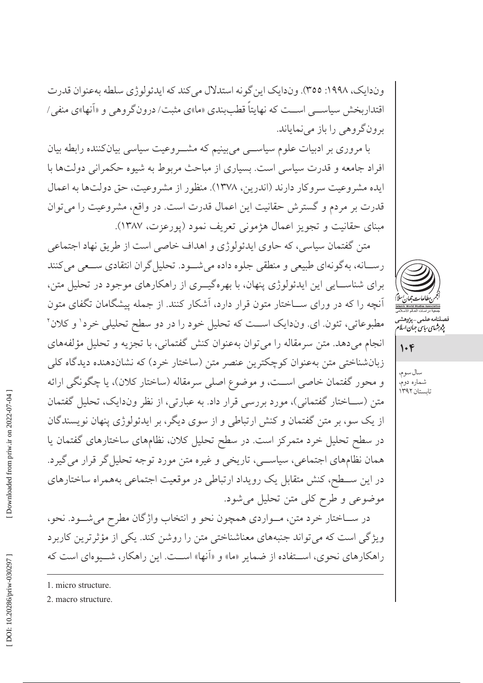وندایک، ۱۹۹۸: ٣٥٥). وندایک این گونه استدلال میکند که ایدئولوژي سلطه بهعنوان قدرت اقتدار بخش سیاسب اسـت که نهایتاً قطببندی «ما»ی مثبت/ درونگروهی و «آنها»ی منفی/ برونگروهي را باز مي نماياند.

با مروری بر ادبیات علوم سیاســـی می بینیم که مشـــروعیت سیاسی بیانکننده رابطه بیان افراد جامعه و قدرت سیاسی است. بسیاری از مباحث مربوط به شیوه حکمرانی دولتها با ايده مشروعيت سروكار دارند (اندرين، ١٣٧٨). منظور از مشروعيت، حق دولتها به اعمال قدرت بر مردم و گسترش حقانیت این اعمال قدرت است. در واقع، مشروعیت را می توان مبنای حقانیت و تجویز اعمال هژمونی تعریف نمود (پورعزت، ۱۳۸۷).

متن گفتمان سیاسی، که حاوی ایدئولوژی و اهداف خاصی است از طریق نهاد اجتماعی رسـانه، بهگونهاي طبيعي و منطقي جلوه داده مي شـود. تحليل گران انتقادي سـعي مي كنند برای شناسـایی این ایدئولوژی پنهان، با بهرهگیــری از راهکارهای موجود در تحلیل متن، آنچه را که در ورای ســاختار متون قرار دارد، آشکار کنند. از جمله پیشگامان تگفای متون مطبوعاتي، تئون اي. وندايک است که تحليل خود را در دو سطح تحليلي خرد' و کلان ' انجام می دهد. متن سرمقاله را می توان بهعنوان کنش گفتمانی، با تجزیه و تحلیل مؤلفههای زبان شناختی متن به عنوان کوچکترین عنصر متن (ساختار خرد) که نشاندهنده دیدگاه کلی و محور گفتمان خاصی اســت، و موضوع اصلی سرمقاله (ساختار کلان)، یا چگونگی ارائه متن (ســاختار گفتمانی)، مورد بررسی قرار داد. به عبارتی، از نظر وندایک، تحلیل گفتمان از یک سو، بر متن گفتمان و کنش ارتباطی و از سوی دیگر، بر ایدئولوژی پنهان نویسندگان در سطح تحلیل خرد متمرکز است. در سطح تحلیل کلان، نظامهای ساختارهای گفتمان یا همان نظامهای اجتماعی، سیاسی، تاریخی و غیره متن مورد توجه تحلیل گر قرار می گیرد. در این ســطح، کنش متقابل یک رویداد ارتباطی در موقعیت اجتماعی بههمراه ساختارهای موضوعي وطرح كلي متن تحليل مي شود.

در ســـاختار خرد متن، مــواردي همچون نحو و انتخاب واژگان مطرح ميشـــود. نحو، ویژگی است که می تواند جنبههای معناشناختی متن را روشن کند. یکی از مؤثر ترین کاربر د راهکارهای نحوی، استفاده از ضمایر «ما» و «آنها» است. این راهکار، شـووهای است که



صىلنامە عىلمى – پ<sub>ژ</sub>وهشە<br>پژ*وہ<sup>ی</sup>مای ساسی جمان اسلا* 

 $1.8$ 

سال سوم، شماره دوم،<br>تابستان ۱۳۹۲

1. micro structure. 2. macro structure.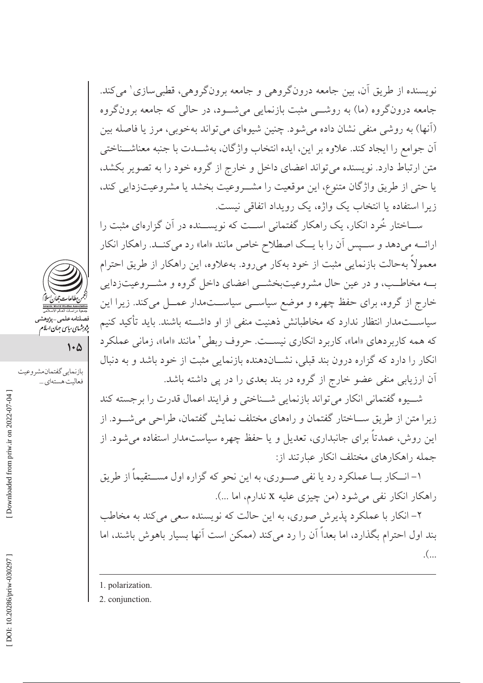نویسنده از طریق اّن، بین جامعه درونگروهی و جامعه برونگروهی، قطبی سازی' می کند. جامعه درونگروه (ما) به روشـــ مثبت بازنمایی می شــود، در حالی که جامعه برونگروه (آنها) به روشی منفی نشان داده می شود. چنین شیوهای می تواند بهخوبی، مرز یا فاصله بین أن جوامع را ايجاد كند. علاوه بر اين، ايده انتخاب واژگان، بهشـــدت با جنبه معناشـــناختى متن ارتباط دارد. نویسنده میتواند اعضای داخل و خارج از گروه خود را به تصویر بکشد، يا حتى از طريق واژگان متنوع، اين موقعيت را مشـروعيت بخشد يا مشروعيتزدايي كند، زیرا استفاده یا انتخاب یک واژه، یک رویداد اتفاقی نیست.

ســاختار خُرد انکار، یک راهکار گفتمانی اســت که نویســنده در آن گزارهای مثبت را ارائـــه مي دهد و ســـيس أن را با يـــك اصطلاح خاص مانند «اما» رد مي كنـــد. راهكار انكار معمولاً بهحالت بازنمایی مثبت از خود بهکار میرود. بهعلاوه، این راهکار از طریق احترام بــه مخاطــب، و در عين حال مشروعيتبخشــي اعضاي داخل گروه و مشــروعيتزدايي خارج از گروه، برای حفظ چهره و موضع سیاســی سیاســـتمدار عمــل میکند. زیرا این سیاســـتمدار انتظار ندارد که مخاطبانش ذهنیت منفی از او داشـــته باشند. باید تأکید کنیم که همه کاربر دهای «اما»، کاربر د انکاری نیست. حروف ربطی ٔ مانند «اما»، زمانی عملکر د انکار را دارد که گزاره درون بند قبلی، نشــاندهنده بازنمایی مثبت از خود باشد و به دنبال آن ارزیابی منفی عضو خارج از گروه در بند بعدی را در پی داشته باشد.

شب وه گفتمانی انکار می تواند بازنمایی شــناختی و فرایند اعمال قدرت را بر جسته کند زیرا متن از طریق ســاختار گفتمان و راههای مختلف نمایش گفتمان، طراحی می شــود. از این روش، عمدتاً برای جانبداری، تعدیل و یا حفظ چهره سیاستمدار استفاده می شود. از جمله راهكارهاى مختلف انكار عبارتند از:

۱– انــکار بــا عملکرد رد یا نفی صـــوری، به این نحو که گزاره اول مســـتقیماً از طریق راهکار انکار نفی میشود (من چیزی علیه x ندارم، اما ...).

۲– انکار با عملکرد پذیرش صوری، به این حالت که نویسنده سعی می کند به مخاطب بند اول احترام بگذارد، اما بعداً آن را رد می کند (ممکن است آنها بسیار باهوش باشند، اما  $\mathcal{L}$ ...

2. conjunction.



قصیت کسی پرر<br>پژوہشہای سایپ جہان اسلام

بازنمايي گفتمان مشروعيت

فعاليت هستهاي ...

 $\mathsf{L}\mathsf{L}$ 

<sup>1.</sup> polarization.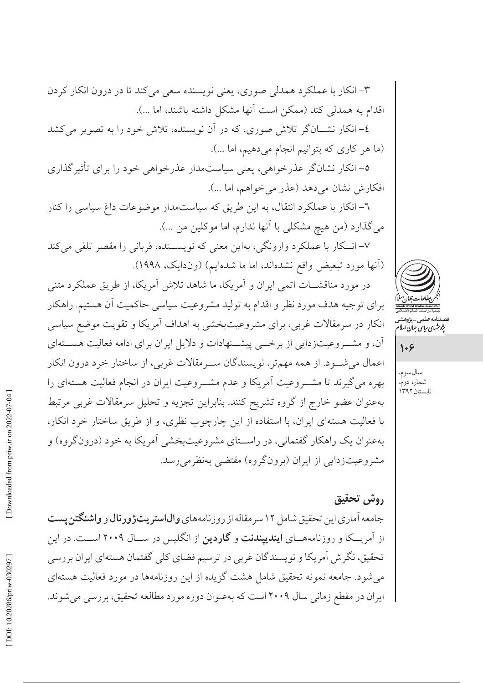٥– انکار نشانگر عذرخواهي، يعني سياستمدار عذرخواهي خود را براي تأثيرگذاري افكارش نشان مى دهد (عذر مى خواهم، اما ...). ٦- انکار با عملکرد انتقال، به این طریق که سیاستمدار موضوعات داغ سیاسی را کنار می گذارد (من هیچ مشکلی با آنها ندارم، اما موکلین من …).

٧- انکار با عملکرد وارونگی، بهاین معنی که نویســنده، قربانی را مقصر تلقی میکند (آنها مورد تبعیض واقع نشدهاند، اما ما شدهایم) (وندایک، ۱۹۹۸).

٣- انکار با عملکرد همدلی صوری، یعنی نویسنده سعی میکند تا در درون انکار کردن

٤– انکار نشـــانگر تلاش صوري، که در اَن نويسنده، تلاش خود را به تصوير مي کشد

اقدام به همدلی کند (ممکن است آنها مشکل داشته باشند، اما ...).

(ما هر كارى كه بتوانيم انجام مى دهيم، اما ...).

در مورد مناقشـــات اتمى ايران و اَمريكا، ما شاهد تلاش اَمريكا، از طريق عملكرد متنى برای توجیه هدف مورد نظر و اقدام به تولید مشروعیت سیاسی حاکمیت آن هستیم. راهکار انکار در سرمقالات غربی، برای مشروعیتبخشی به اهداف آمریکا و تقویت موضع سیاسی آن، و مشـروعیتزدایی از برخــی پیشــنهادات و دلایل ایران برای ادامه فعالیت هســتهای اعمال میشـود. از همه مهمتر، نویسندگان سـرمقالات غربی، از ساختار خرد درون انکار بهره میگیرند تا مشــروعیت آمریکا و عدم مشــروعیت ایران در انجام فعالیت هستهای را بهعنوان عضو خارج از گروه تشريح كنند. بنابراين تجزيه و تحليل سرمقالات غربي مرتبط با فعالیت هستهای ایران، با استفاده از این چارچوب نظری، و از طریق ساختار خرد انکار، بهعنوان یک راهکار گفتمانی، در راسـتای مشروعیتبخشی آمریکا به خود (درونگروه) و مشروعیتزدایی از ایران (برونگروه) مقتضی بهنظرمی رسد.

# روش تحقيق

جامعه آماری این تحقیق شامل ۱۲ سر مقاله از روزنامههای **وال|ستر پتژورنال** و **واشنگتن پست** از آمریـــکا و روزنامههـــای **ایندیپندنت** و **گاردین** از انگلیس در ســـال ۲۰۰۹ اســـت. در این تحقیق، نگرش اَمریکا و نویسندگان غربی در ترسیم فضای کلی گفتمان هستهای ایران بررسی میشود. جامعه نمونه تحقیق شامل هشت گزیده از این روزنامهها در مورد فعالیت هستهای ایران در مقطع زمانی سال ۲۰۰۹ است که بهعنوان دوره مورد مطالعه تحقیق، بررسی میشوند.



صىلنامە عىلمى – بىژوهشىر<br>پژوہش*ای ریاس جمان اسلا*م

 $1.9$ 

سال سوم، شماره دومٌ<br>تابستان ۱۳۹۲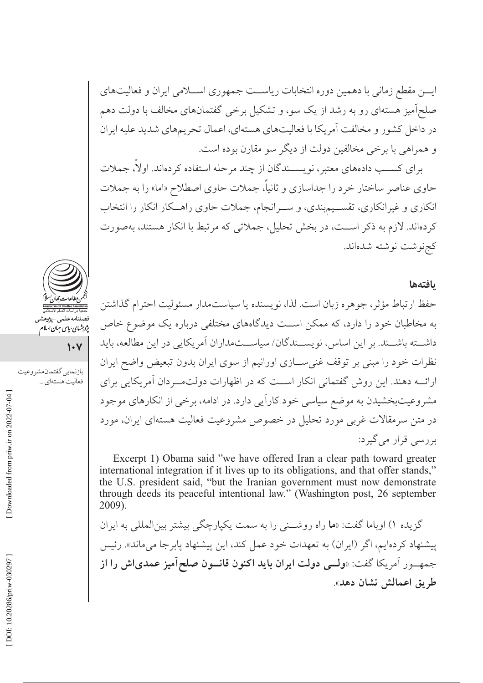ایسن مقطع زمانی با دهمین دوره انتخابات ریاست جمهوری اســلامی ایران و فعالیتهای صلحآمیز هستهای رو به رشد از یک سو، و تشکیل برخی گفتمانهای مخالف با دولت دهم در داخل کشور و مخالفت آمریکا با فعالیتهای هستهای، اعمال تحریمهای شدید علیه ایران و همراهي با برخي مخالفين دولت از ديگر سو مقارن بوده است.

برای کســب دادههای معتبر، نویســندگان از چند مرحله استفاده کردهاند. اولا، جملات حاوی عناصر ساختار خرد را جداسازی و ثانیاً، جملات حاوی اصطلاح «اما» را به جملات انکاری و غیرانکاری، تقسـیم.بندی، و ســرانجام، جملات حاوی راهــکار انکار را انتخاب كردهاند. لازم به ذكر اســت، در بخش تحليل، جملاتي كه مرتبط با انكار هستند، بهصورت كجنوشت نوشته شدهاند.

#### بافتهها

حفظ ارتباط مؤثر، جوهره زبان است. لذا، نويسنده يا سياستمدار مسئوليت احترام گذاشتن به مخاطبان خود را دارد، که ممکن اســت دیدگاههای مختلفی درباره یک موضوع خاص داشـــته باشـــند. بر اين اساس، نويســـندگان/ سياســـتمداران آمريكايي در اين مطالعه، بايد نظرات خود را مبنی بر توقف غنی سازی اورانیم از سوی ایران بدون تبعیض واضح ایران ارائــه دهند. اين روش گفتماني انكار اســت كه در اظهارات دولتمــردان آمريكايي براي مشروعیتبخشیدن به موضع سیاسی خود کاراًیی دارد. در ادامه، برخی از انکارهای موجود در متن سرمقالات غربی مورد تحلیل در خصوص مشروعیت فعالیت هستهای ایران، مورد بررسی قرار می گیرد:

Excerpt 1) Obama said "we have offered Iran a clear path toward greater international integration if it lives up to its obligations, and that offer stands," the U.S. president said, "but the Iranian government must now demonstrate through deeds its peaceful intentional law." (Washington post, 26 september 2009).

گزیده ۱) اوباما گفت: «ما راه روشــنی را به سمت یکپارچگی بیشتر بینالمللی به ایران پیشنهاد کردهایم، اگر (ایران) به تعهدات خود عمل کند، این پیشنهاد پابر جا می ماند». رئیس جمهــور أمريكا گفت: «**ولـــى دولت ايران بايد اكنون قانـــون صلح**اًم**يز عمدىاش را از** طريق اعمالش نشان دهد».



پژو برش<sub>های سیاسی</sub> جهان اسلام

 $\sqrt{1+\gamma}$ 

بازنمايي گفتمان مشروعيت فعاليت هستهاي ...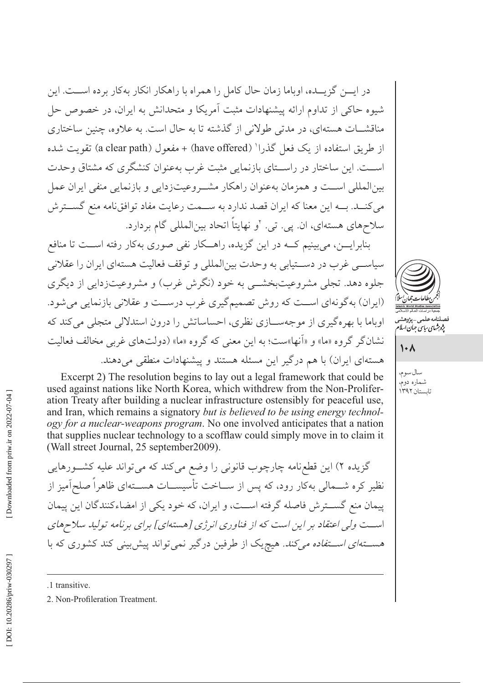در ایـــن گزیـــده، اوباما زمان حال کامل را همراه با راهکار انکار بهکار برده اســـت. این شیوه حاکی از تداوم ارائه پیشنهادات مثبت آمریکا و متحدانش به ایران، در خصوص حل مناقشــات هستهاي، در مدتي طولاني از گذشته تا به حال است. به علاوه، چنين ساختاري از طريق استفاده از يک فعل گذرا' (have offered) + مفعول (a clear path) تقويت شده است. این ساختار در راستای بازنمایی مثبت غرب بهعنوان کنشگری که مشتاق وحدت بین المللی است و همزمان بهعنوان راهکار مشـروعیتزدایی و بازنمایی منفی ایران عمل می کنــد. بــه این معنا که ایران قصد ندارد به ســمت رعایت مفاد توافق نامه منع گســترش سلاحهای هستهای، ان. پی. تی. ۲و نهایتاً اتحاد بینالمللی گام بردارد.

بنابرایسن، می بینیم کــه در این گزیده، راهــکار نفی صوری بهکار رفته اســت تا منافع سیاســی غرب در دســتیابی به وحدت بینالمللی و توقف فعالیت هستهای ایران را عقلانی جلوه دهد. تجلي مشروعيتبخشـــي به خود (نگرش غرب) و مشروعيتزدايي از ديگري (ایران) به گونهای است که روش تصمیم گیری غرب درست و عقلانی بازنمایی می شود. اوباما با بهرهگیری از موجهسازی نظری، احساساتش را درون استدلالی متجلی می کند که نشان گر گروه «ما» و «آنها»ست؛ به این معنی که گروه «ما» (دولتهای غربی مخالف فعالیت هستهای ایران) با هم درگیر این مسئله هستند و پیشنهادات منطقی می دهند.

Excerpt 2) The resolution begins to lay out a legal framework that could be used against nations like North Korea, which withdrew from the Non-Proliferation Treaty after building a nuclear infrastructure ostensibly for peaceful use, and Iran, which remains a signatory but is believed to be using energy technology for a nuclear-weapons program. No one involved anticipates that a nation that supplies nuclear technology to a scofflaw could simply move in to claim it (Wall street Journal, 25 september 2009).

گزیده ۲) این قطعنامه چارچوب قانونی را وضع می کند که می تواند علیه کشــورهایی نظیر کره شــمالی بهکار رود، که پس از ســاخت تأسیســات هســتهای ظاهراً صلحآمیز از پیمان منع گســترش فاصله گرفته اســت، و ایران، که خود یکی از امضاءکنندگان این پیمان است ولي اعتقاد بر اين است كه از فناوري انرژي [هستهاي] براي برنامه توليد سلاحهاي *هســـتهای اســـتفاده میکند. ه*یچیک از طرفین درگیر نمیتواند پیش بینی کند کشوری که با

.1 transitive.



 $\lambda$ 

سال سوم، شماره دوم، تابستان ۱۳۹۲

<sup>2.</sup> Non-Profileration Treatment.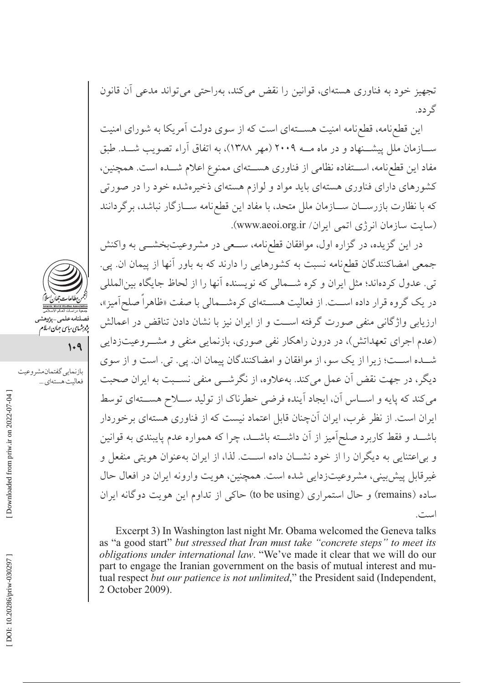تجهیز خود به فناوری هستهای، قوانین را نقض می کند، بهراحتی می تواند مدعی آن قانون گہ دد.

این قطع نامه، قطع نامه امنیت هســـتهای است که از سوی دولت آمریکا به شورای امنیت ســـازمان ملل پیشـــنهاد و در ماه مـــه ۲۰۰۹ (مهر ۱۳۸۸)، به اتفاق آراء تصویب شـــد. طبق مفاد این قطع نامه، استفاده نظامی از فناوری هستهای ممنوع اعلام شــده است. همچنین، کشورهای دارای فناوری هستهای باید مواد و لوازم هستهای ذخیرهشده خود را در صورتی كه با نظارت بازرســـان ســـازمان ملل متحد، با مفاد اين قطع نامه ســـازگار نباشد، برگردانند (سایت سازمان انرژی اتمی ایران/ www.aeoi.org.ir).

در این گزیده، در گزاره اول، موافقان قطع،نامه، ســعی در مشروعیتبخشــی به واکنش جمعی امضاکنندگان قطعنامه نسبت به کشورهایی را دارند که به باور آنها از پیمان ان. پی. تبي. عدول كردهاند؛ مثل ايران و كره شــمالي كه نويسنده آنها را از لحاظ جايگاه بينالمللي در یک گروه قرار داده اســت. از فعالیت هســتهای کرهشــمالی با صفت «ظاهراً صلحآمیز»، ارزیابی واژگانی منفی صورت گرفته است و از ایران نیز با نشان دادن تناقض در اعمالش (عدم اجرای تعهداتش)، در درون راهکار نفی صوری، بازنمایی منفی و مشــروعیتزدایی شــده اســت؛ زيرا از يک سو، از موافقان و امضاکنندگان پيمان ان. يي. تي. است و از سوي دیگر، در جهت نقض آن عمل می کند. بهعلاوه، از نگرشــی منفی نســبت به ایران صحبت می کند که پایه و اسـاس آن، ایجاد آینده فرضی خطرناک از تولید ســلاح هســتهای توسط ایران است. از نظر غرب، ایران آنچنان قابل اعتماد نیست که از فناوری هستهای برخوردار باشـــد و فقط كاربرد صلحآميز از آن داشـــته باشـــد، چرا كه همواره عدم پايبندى به قوانين و بی اعتنایی به دیگران را از خود نشــان داده اســت. لذا، از ایران بهعنوان هویتی منفعل و غیرقابل پیش بینی، مشروعیتزدایی شده است. همچنین، هویت وارونه ایران در افعال حال ساده (remains) و حال استمراري (to be using) حاكي از تداوم اين هويت دوگانه ايران است.

Excerpt 3) In Washington last night Mr. Obama welcomed the Geneva talks as "a good start" but stressed that Iran must take "concrete steps" to meet its obligations under international law. "We've made it clear that we will do our part to engage the Iranian government on the basis of mutual interest and mutual respect but our patience is not unlimited," the President said (Independent, 2 October 2009).



پژو شهای سایپی جهان اسلام<br>پژو شهای سایپی جهان اسلام

 $1.9$ 

بازنمايي گفتمان مشروعيت

فعاليت هستهاي ...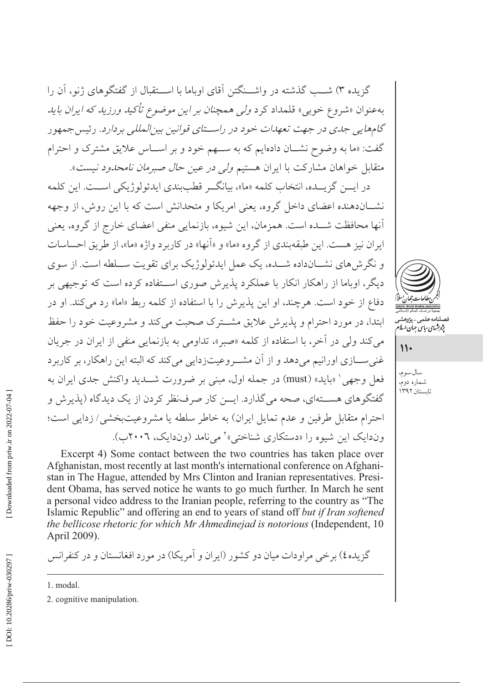گزیده ۳) شــب گذشته در واشــنگتن آقای اوباما با اســتقبال از گفتگوهای ژنو، آن را بهعنوان «شروع خوبي» قلمداد كرد *ولي همچنان بر اين موضوع تأكيد ورزيد كه ايران بايد* گامهایی جدی در جهت تعهدات خود در راستای قوانین بین المللی بردارد. رئیس جمهور گفت: «ما به وضوح نشـان دادهایم که به ســهم خود و بر اســاس علایق مشترک و احترام متقابل خواهان مشاركت با ايران هستيم *ولي در عين حال صبرمان نامحدود نيست*».

در ايـــن گزيـــده، انتخاب كلمه «ما»، بيانگــر قطببندي ايدئولوژيكي اســـت. اين كلمه نشــاندهنده اعضای داخل گروه، یعنی امریکا و متحدانش است که با این روش، از وجهه آنها محافظت شــده است. همزمان، این شیوه، بازنمایی منفی اعضای خارج از گروه، یعنی ايران نيز هست. اين طبقهبندي از گروه «ما» و «آنها» در كاربر د واژه «ما»، از طريق احساسات و نگر ش های نشــانداده شــده، یک عمل ایدئولوژیک برای تقویت ســلطه است. از سوی دیگر، اوباما از راهکار انکار با عملکرد پذیرش صوری اســتفاده کرده است که توجیهی بر دفاع از خود است. هرچند، او این پذیرش را با استفاده از کلمه ربط «اما» رد میکند. او در ابتدا، در مورد احترام و پذیرش علایق مشترک صحبت می کند و مشروعیت خود را حفظ مي كند ولي در آخر، با استفاده از كلمه «صبر»، تداومي به بازنمايي منفي از ايران در جريان غني ســـازي اورانيم مي دهد و از آن مشـــروعيتزدايي مي كند كه البته اين راهكار، بر كاربر د فعل وجهي' «بايد» (must) در جمله اول، مبنى بر ضرورت شـــديد واكنش جدى ايران به گفتگوهای هســتهای، صحه می گذارد. ایـــن کار صرفنظر کردن از یک دیدگاه (پذیرش و احترام متقابل طرفين و عدم تمايل ايران) به خاطر سلطه يا مشروعيتبخشي/ زدايي است؛ وندایک این شیوه را «دستکاری شناختی»<sup>۲</sup> می نامد (وندایک، ۲۰۰۲ب).



پژوشهای سایپ جهان اسلام

 $\mathcal{U}$ 

سال سوم، شماره دوم، تابستان ۱۳۹۲

Excerpt 4) Some contact between the two countries has taken place over Afghanistan, most recently at last month's international conference on Afghanistan in The Hague, attended by Mrs Clinton and Iranian representatives. President Obama, has served notice he wants to go much further. In March he sent a personal video address to the Iranian people, referring to the country as "The Islamic Republic" and offering an end to years of stand off but if Iran softened the bellicose rhetoric for which Mr Ahmedinejad is notorious (Independent, 10 April 2009).

گزیده٤) برخی مراودات میان دو کشور (ایران و آمریکا) در مورد افغانستان و در کنفرانس

<sup>1.</sup> modal.

<sup>2.</sup> cognitive manipulation.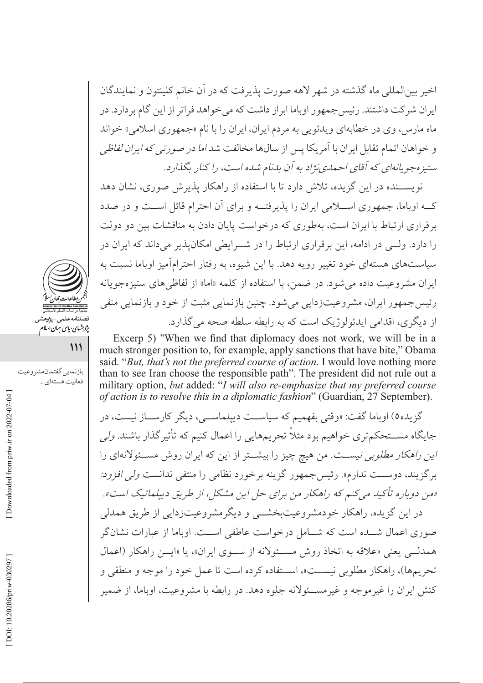اخير بينالمللي ماه گذشته در شهر لاهه صورت يذيرفت كه در آن خانم كلينتون و نمايندگان ایران شرکت داشتند. رئیس جمهور اوباما ابراز داشت که می خواهد فراتر از این گام بردارد. در ماه مارس، وي در خطابهاي ويدئويي به مردم ايران، ايران را با نام «جمهوري اسلامي» خواند و خواهان اتمام تقابل ایران با آمریکا پس از سالها مخالفت شد *اما در صورتی که ایران لفاظی* ستیزه جویانهای که آقای احمدی نژاد به آن بدنام شده است، را کنار بگذارد.

نویســنده در این گزیده، تلاش دارد تا با استفاده از راهکار پذیرش صوری، نشان دهد کــه اوباما، جمهوری اســـلامی ایران را پذیرفتــه و برای آن احترام قائل اســت و در صدد بر قراری ارتباط با ایران است، بهطوری که درخواست پایان دادن به مناقشات بین دو دولت را دارد. ولــی در ادامه، این بر قراری ارتباط را در شــرایطی امکان پذیر می داند که ایران در سیاستهای هستهای خود تغییر رویه دهد. با این شیوه، به رفتار احترامآمیز اوباما نسبت به ایران مشروعیت داده می شود. در ضمن، با استفاده از کلمه «اما» از لفاظیهای ستیزهجویانه رئیس جمهور ایران، مشروعیتزدایی می شود. چنین بازنمایی مثبت از خود و بازنمایی منفی از دیگری، اقدامی ایدئولوژیک است که به رابطه سلطه صحه می گذارد.

Excerp 5) "When we find that diplomacy does not work, we will be in a much stronger position to, for example, apply sanctions that have bite," Obama said. "But, that's not the preferred course of action. I would love nothing more than to see Iran choose the responsible path". The president did not rule out a military option, but added: "I will also re-emphasize that my preferred course of action is to resolve this in a diplomatic fashion" (Guardian, 27 September).

گزیده0) اوباما گفت: «وقتی بفهمیم که سیاســت دیپلماســی، دیگر کارســاز نیست، در جایگاه مســـتحکمتری خواهیم بود مثلاً تحریمهایی را اعمال کنیم که تأثیر گذار باشند. *ولی* این راهکار مطل*وبی نیست. من هیچ چی*ز را بیشتر از این که ایران روش مسئولانهای را برگزیند، دوســت ندارم». رئیسجمهور گزینه برخورد نظامی را منتفی ندانست *ولی افزود:* «من دوباره تأکید میکنم که راهکار من برای حل این مشکل، از طریق دیپلماتیک است». در این گزیده، راهکار خودمشروعیتبخشــی و دیگرمشروعیتزدایی از طریق همدلی صوری اعمال شـــده است که شـــامل درخواست عاطفی اســـت. اوباما از عبارات نشانگر همدلبي يعني «علاقه به اتخاذ روش مسئولانه از سوى ايران»، يا «ايــن راهكار (اعمال تحريمها)، راهكار مطلوبي نيســت»، اســتفاده كرده است تا عمل خود را موجه و منطقي و کنش ایران را غیر موجه و غیر مســـئولانه جلوه دهد. در رابطه با مشروعیت، اوباما، از ضمیر



 $111$ 

فعاليت هستهاي ...

بازنمايي گفتمان مشروعيت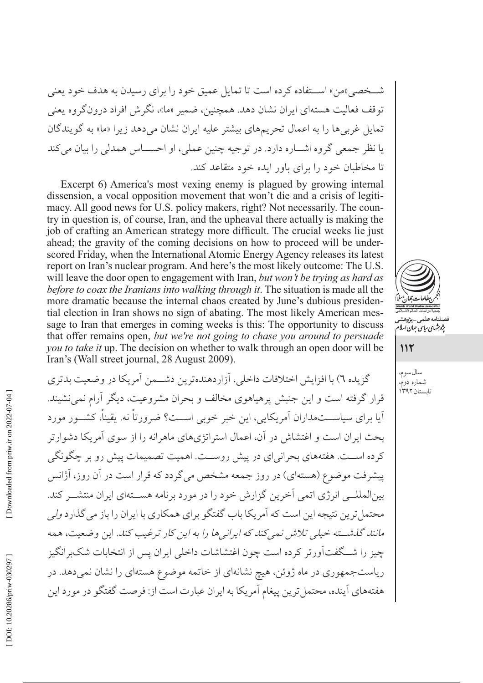شــخصي «من» اســتفاده كرده است تا تمايل عميق خود را براي رسيدن به هدف خود يعني توقف فعالیت هستهای ایران نشان دهد. همچنین، ضمیر «ما»، نگرش افراد درون گروه یعنی تمایل غربیها را به اعمال تحریمهای بیشتر علیه ایران نشان میدهد زیرا «ما» به گویندگان يا نظر جمعي گروه اشـــاره دارد. در توجيه چنين عملي، او احســـاس همدلي را بيان مي كند تا مخاطبان خود را برای باور ایده خود متقاعد کند.

Excerpt 6) America's most vexing enemy is plagued by growing internal dissension, a vocal opposition movement that won't die and a crisis of legitimacy. All good news for U.S. policy makers, right? Not necessarily. The country in question is, of course, Iran, and the upheaval there actually is making the job of crafting an American strategy more difficult. The crucial weeks lie just ahead; the gravity of the coming decisions on how to proceed will be underscored Friday, when the International Atomic Energy Agency releases its latest report on Iran's nuclear program. And here's the most likely outcome: The U.S. will leave the door open to engagement with Iran, but won't be trying as hard as before to coax the Iranians into walking through it. The situation is made all the more dramatic because the internal chaos created by June's dubious presidential election in Iran shows no sign of abating. The most likely American message to Iran that emerges in coming weeks is this: The opportunity to discuss that offer remains open, but we're not going to chase you around to persuade you to take it up. The decision on whether to walk through an open door will be Iran's (Wall street journal, 28 August 2009).

گزیده ٦) با افزایش اختلافات داخلی، آزار دهنده ترین دشتمن آمریکا در وضعت بدتری قرار گرفته است و این جنبش پرهیاهوی مخالف و بحران مشروعیت، دیگر آرام نمی نشیند. آیا برای سیاســـتمداران اَمریکایی، این خبر خوبی اســت؟ ضرورتاً نه. یقیناً، کشــور مورد بحث ایران است و اغتشاش در آن، اعمال استراتژیهای ماهرانه را از سوی آمریکا دشوارتر كرده اســت. هفتههاي بحراني اي در پيش روســت. اهميت تصميمات پيش رو بر چگونگي پیشرفت موضوع (هستهای) در روز جمعه مشخص میگردد که قرار است در آن روز، آژانس بینالمللــی انرژی اتمی آخرین گزارش خود را در مورد برنامه هســتهای ایران منتشــر کند. محتمل ترین نتیجه این است که آمریکا باب گفتگو برای همکاری با ایران را باز می گذارد *ولی* مانند گذشته خیلی تلاش نمیکند که ایرانیها را به این کار ترغیب کند. این وضعیت، همه چیز را شــگفتآورتر کرده است چون اغتشاشات داخلی ایران پس از انتخابات شکبرانگیز ریاستجمهوری در ماه ژوئن، هیچ نشانهای از خاتمه موضوع هستهای را نشان نمیدهد. در هفتههاي آينده، محتمل ترين پيغام آمريكا به ايران عبارت است از: فرصت گفتگو در مورد اين



سال سوم، شماره دوم، تابستان ۱۳۹۲

 $115$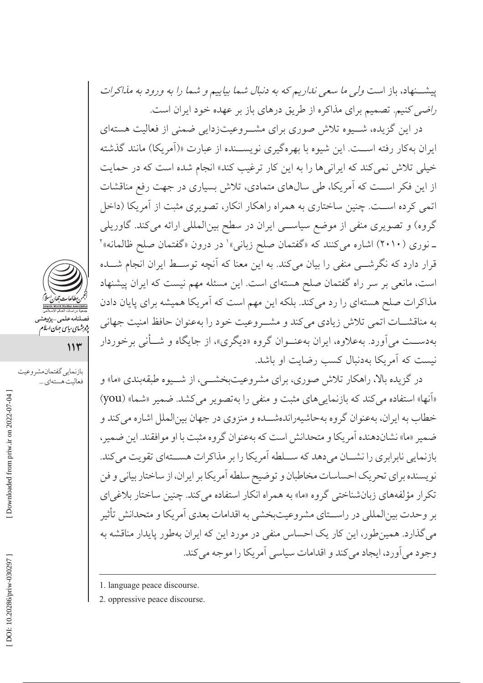پیشــنهاد، باز است *ولی ما سعی نداریم که به دنبال ش*م*ا بیاییم و شما را به ورود به مذاکرات* راضی کنیم. تصمیم برای مذاکره از طریق درهای باز بر عهده خود ایران است.

در این گزیده، شــیوه تلاش صوری برای مشــروعیتزدایی ضمنی از فعالیت هستهای ایران بهکار رفته اســت. این شیوه با بهرهگیری نویســنده از عبارت «(اَمریکا) مانند گذشته خیلی تلاش نمی کند که ایرانیها را به این کار ترغیب کند» انجام شده است که در حمایت از این فکر اسـت که آمریکا، طی سالهای متمادی، تلاش بسیاری در جهت رفع مناقشات اتمی کرده اسـت. چنین ساختاری به همراه راهکار انکار، تصویری مثبت از آمریکا (داخل گروه) و تصویری منفی از موضع سیاسی ایران در سطح بینالمللی ارائه میکند. گاوریلی ـ نوري (٢٠١٠) اشاره مي كنند كه «گفتمان صلح زباني»' در درون «گفتمان صلح ظالمانه»' قرار دارد که نگرشـــی منفی را بیان میکند. به این معنا که آنچه توســط ایران انجام شـــده است، مانعی بر سر راه گفتمان صلح هستهای است. این مسئله مهم نیست که ایران پیشنهاد مذاکرات صلح هستهای را رد می کند. بلکه این مهم است که آمریکا همیشه برای پایان دادن به مناقشـات اتمى تلاش زيادى مى كند و مشـروعيت خود را بهعنوان حافظ امنيت جهانى بهدســت مي آورد. بهعلاوه، ايران بهعنــوان گروه «ديگري»، از جايگاه و شــأني برخوردار نیست که آمریکا بهدنبال کسب رضایت او باشد.

در گزیده بالا، راهکار تلاش صوری، برای مشروعیتبخشــی، از شــیوه طبقهبندی «ما» و «آنها» استفاده می کند که بازنمایی های مثبت و منفی را به تصویر می کشد. ضمیر «شما» (you) خطاب به ایران، بهعنوان گروه بهحاشیهراندهشــده و منزوی در جهان بینالملل اشاره میكند و ضمير «ما» نشاندهنده اَمريكا و متحدانش است كه بهعنوان گروه مثبت با او موافقند. اين ضمير، بازنمایی نابرابری را نشــان می دهد که ســـلطه آمریکا را بر مذاکرات هســتهای تقویت می کند. نویسنده برای تحریک احساسات مخاطبان و توضیح سلطه آمریکا بر ایران، از ساختار بیانی و فن تکرار مؤلفههای زبانشناختی گروه «ما» به همراه انکار استفاده می کند. چنین ساختار بلاغی ای بر وحدت بینالمللی در راسـتای مشروعیتبخشی به اقدامات بعدی آمریکا و متحدانش تأثیر می گذارد. همین طور، این کار یک احساس منفی در مورد این که ایران بهطور پایدار مناقشه به وجود مي آورد، ايجاد مي كند و اقدامات سياسي آمريكا را موجه مي كند.

2. oppressive peace discourse.



مستنسسه سسی په در مسیر<br>پژوهشهای سایپی جهان اسلام

بازنمايي گفتمان مشروعيت

فعاليت هستهاي ...

 $114$ 

Downloaded from priw.ir on 2022-07-04

<sup>1.</sup> language peace discourse.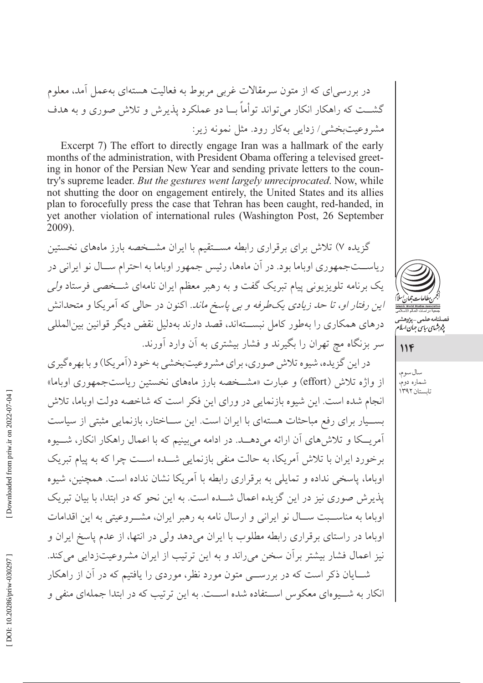در بررسی ای که از متون سرمقالات غربی مربوط به فعالیت هستهای بهعمل آمد، معلوم گشـــت که راهکار انکار می تواند توأماً بـــا دو عملکرد پذیرش و تلاش صوری و به هدف مشروعیتبخشی/ زدایی بهکار رود. مثل نمونه زیر:

Excerpt 7) The effort to directly engage Iran was a hallmark of the early months of the administration, with President Obama offering a televised greeting in honor of the Persian New Year and sending private letters to the country's supreme leader. *But the gestures went largely unreciprocated*. Now, while not shutting the door on engagement entirely, the United States and its allies plan to forocefully press the case that Tehran has been caught, red-handed, in yet another violation of international rules (Washington Post, 26 September 2009).

گزیده ۷) تلاش برای برقراری رابطه مســتقیم با ایران مشــخصه بارز ماههای نخستین ریاســتجمهوری اوباما بود. در آن ماهها، رئیس جمهور اوباما به احترام ســال نو ایرانی در یک برنامه تلویزیونی پیام تبریک گفت و به رهبر معظم ایران نامهای شــخصی فرستاد *ولی* این رفتار او، تا حد زیادی یک طرفه و بی پاسخ ماند. اکنون در حالی که آمریکا و متحدانش درهای همکاری را بهطور کامل نبســتهاند، قصد دارند بهدلیل نقض دیگر قوانین بین|لمللی سر بزنگاه مچ تهران را بگیرند و فشار بیشتری به آن وارد آورند.

در اين گزيده، شيوه تلاش صوري، براي مشروعيتبخشي به خود (آمريكا) و با بهره گيري از واژه تلاش (effort) و عبارت «مشــخصه بارز ماههای نخستین ریاستجمهوری اوباما» انجام شده است. این شیوه بازنمایی در ورای این فکر است که شاخصه دولت اوباما، تلاش بســيار براي رفع مباحثات هستهاي با ايران است. اين ســاختار، بازنمايي مثبتي از سياست آمریــکا و تلاش۵های آن ارائه می دهــد. در ادامه می بینیم که با اعمال راهکار انکار، شـــیوه برخورد ایران با تلاش آمریکا، به حالت منفی بازنمایی شــده اســت چرا که به پیام تبریک اوباما، پاسخی نداده و تمایلی به برقراری رابطه با آمریکا نشان نداده است. همچنین، شیوه یذیر ش صوری نیز در این گزیده اعمال شــده است. به این نحو که در ابتدا، با بیان تبریک اوباما به مناسـبت سـال نو ايرانى و ارسال نامه به رهبر ايران، مشــروعيتى به اين اقدامات اوباما در راستای بر قراری رابطه مطلوب با ایران می دهد ولی در انتها، از عدم یاسخ ایران و نيز اعمال فشار بيشتر بر آن سخن مي راند و به اين ترتيب از ايران مشروعيتزدايي مي كند. شــایان ذکر است که در بررســـی متون مورد نظر، موردی را یافتیم که در آن از راهکار انکار به شــيو ماي معکو س اســتفاده شده اســت. به اين تر تيب که در ابتدا جملهاي من*في و* 



فصلنامه *ع*لمى \_پژوهشى

 $11F$ 

سال سوم، شماره دوم، تابستان ۱۳۹۲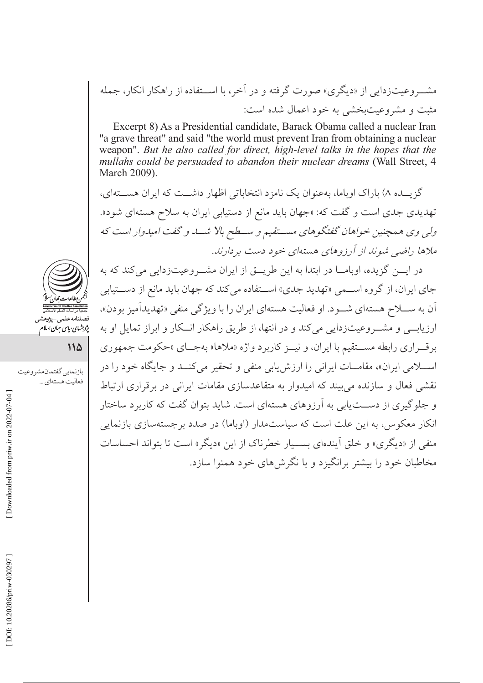مشـــروعیتزدایی از «دیگری» صورت گرفته و در آخر، با اســـتفاده از راهکار انکار، جمله مثبت و مشروعیتبخشی به خود اعمال شده است:

Excerpt 8) As a Presidential candidate, Barack Obama called a nuclear Iran "a grave threat" and said "the world must prevent Iran from obtaining a nuclear weapon". But he also called for direct, high-level talks in the hopes that the mullahs could be persuaded to abandon their nuclear dreams (Wall Street, 4 March 2009).

گزیــده ۸) باراک اوپاما، بهعنوان یک نامزد انتخاباتی اظهار داشــت که ایران هســتهای، تهدیدی جدی است و گفت که: «جهان باید مانع از دستیابی ایران به سلاح هستهای شود». ولي وي همچنين خواهان گفتگوهاي مستقيم و سـطح بالا شــد و گفت اميدوار است كه ملاها راضی شوند از آرزوهای هستهای خود دست بردارند.

در ایسن گزیده، اوبامــا در ابتدا به این طریــق از ایران مشــروعیتزدایی میکند که به جای ایران، از گروه اســمی «تهدید جدی» اســتفاده می کند که جهان باید مانع از دســتیابی آن به ســـلاح هستهاي شـــود. او فعاليت هستهاي ايران را با ويژگي منفي «تهديدآميز بودن»، ارزیابے و مشــروعیتزدایی میکند و در انتها، از طریق راهکار انــکار و ابراز تمایل او به برقـراري رابطه مســتقيم با ايران، و نيــز كاربرد واژه «ملاها» بهجـاي «حكومت جمهوري اسلامی ایران»، مقامـات ایرانی را ارزش یابی منفی و تحقیر میکنــد و جایگاه خود را در نقشی فعال و سازنده می بیند که امیدوار به متقاعدسازی مقامات ایرانی در بر قراری ارتباط و جلوگیری از دســتیابی به آرزوهای هستهای است. شاید بتوان گفت که کاربرد ساختار انکار معکوس، به این علت است که سیاستمدار (اوباما) در صدد برجستهسازی بازنمایی منفي از «ديگري» و خلق اّيندهاي بسـيار خطرناك از اين «ديگر» است تا بتواند احساسات مخاطبان خود را بیشتر برانگیزد و با نگرش های خود همنوا سازد.



پژو شهای سایپی جهان اسلام<br>پژو شهای سایپی جهان اسلام

114

بازنمايي گفتمان مشروعيت فعاليت هستهاي ...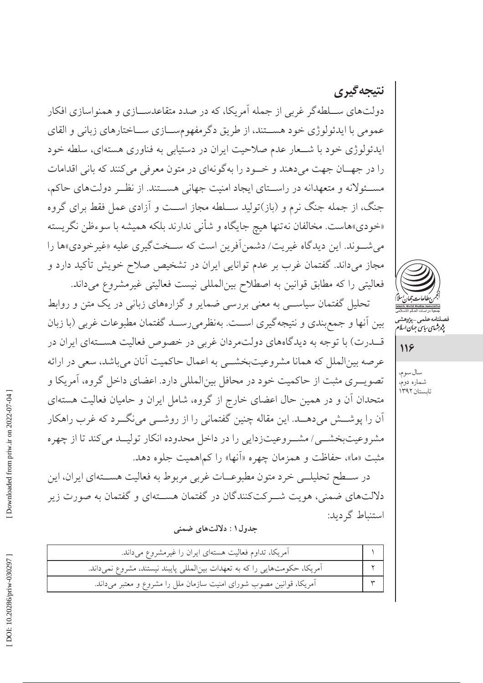نتيجه گيري دولتهای ســلطه گر غربی از جمله آمریکا، که در صدد متقاعدســـازی و همنواسازی افکار عمومي با ايدئولوژي خود هســتند، از طريق دگرمفهومســازي ســاختارهاي زباني و القاي ایدئولوژی خود با شــعار عدم صلاحیت ایران در دستیابی به فناوری هستهای، سلطه خود را در جهـان جهت مي دهند و خـود را به گونهاي در متون معرفي مي كنند كه باني اقدامات مسئولانه و متعهدانه در راستای ایجاد امنیت جهانی هستند. از نظـر دولتهای حاکم، جنگ، از جمله جنگ نرم و (باز)تولید ســلطه مجاز اســت و آزادي عمل فقط براي گروه «خودي»هاست. مخالفان نهتنها هيچ جايگاه و شأني ندارند بلكه هميشه با سوءظن نگريسته مي شـوند. اين ديدگاه غيريت/ دشمن آفرين است كه سـختگيري عليه «غيرخودي»ها را مجاز میداند. گفتمان غرب بر عدم توانایی ایران در تشخیص صلاح خویش تأکید دارد و فعالیتی را که مطابق قوانین به اصطلاح بین المللی نیست فعالیتی غیرمشروع میداند.

تحلیل گفتمان سیاســی به معنی بررسی ضمایر و گزارههای زبانی در یک متن و روابط بين أنها و جمع بندي و نتيجه گيري اســت. بهنظر مي رســد گفتمان مطبوعات غربي (با زبان قـــدرت) با توجه به دیدگاههای دولتمردان غربی در خصوص فعالیت هســـتهای ایران در عرصه بینالملل که همانا مشروعیتبخشمی به اعمال حاکمیت آنان میباشد، سعی در ارائه تصویــری مثبت از حاکمیت خود در محافل بین|لمللی دارد. اعضای داخل گروه، آمریکا و متحدان آن و در همین حال اعضای خارج از گروه، شامل ایران و حامیان فعالیت هستهای اّن را پوشـــش می۵هـــد. این مقاله چنین گفتمانی را از روشـــی مینگـــرد که غرب راهکار مشروعیتبخشــی/ مشــروعیتزدایی را در داخل محدوده انکار تولیــد میکند تا از چهره مثبت «ما»، حفاظت و همزمان چهره «آنها» را كماهميت جلوه دهد.

در ســـطح تحليلـــي خرد متون مطبوعــات غربي مربوط به فعاليت هســـتهاي ايران، اين دلالتهای ضمنی، هویت شــرکتکنندگان در گفتمان هســتهای و گفتمان به صورت زیر استنباط گردید:

جدول ۱ : دلالتهای ضمنی

| آمریکا، تداوم فعالیت هستهای ایران را غیرمشروع میداند.                     |  |
|---------------------------------------------------------------------------|--|
| آمریکا، حکومتهایی را که به تعهدات بینالمللی پایبند نیستند، مشروع نمیداند. |  |
| آمریکا، قوانین مصوب شورای امنیت سازمان ملل را مشروع و معتبر میداند.       |  |



صلنامەعلى<sub>مى—پژ</sub>وھشہ<br>پ*ژوہ<sup>ش</sup>ای ساس جمان اسلا* 

# 118

سال سوم، شماره دوم، تابستان ۱۳۹۲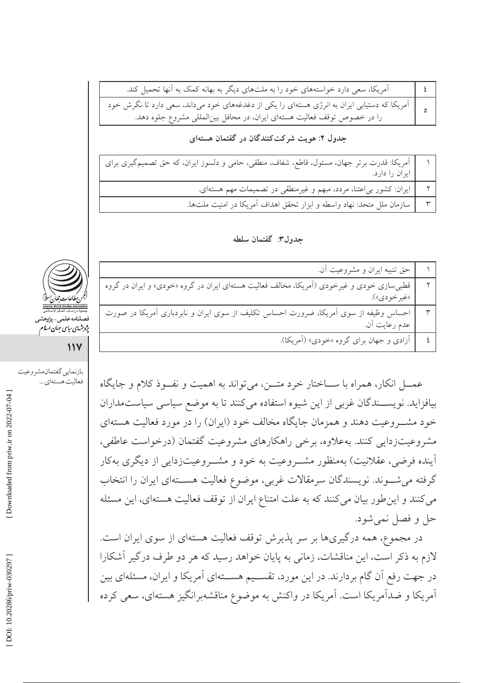| آمریکا، سعی دارد خواستههای خود را به ملتهای دیگر به بهانه کمک به آنها تحمیل کند.                                                                                                                       |  |
|--------------------------------------------------------------------------------------------------------------------------------------------------------------------------------------------------------|--|
| ه یا آمریکا که دستیابی ایران به انرژی هستهای را یکی از دغدغههای خود میداند، سعی دارد تا نگرش خود استیابی ایران<br>ه یا آمریکا که دستیابی ایوقف فعالیت هستهای ایران، در محافل بینالمللی مشروع جلوه دهد. |  |
|                                                                                                                                                                                                        |  |

# جدول ۲: هویت شرکتکنندگان در گفتمان هستهای

| آمریکا: قدرت برتر جهان، مسئول، قاطع، شفاف، منطقی، حامی و دلسوز ایران، که حق تصمیمگیری برای<br> |  |
|------------------------------------------------------------------------------------------------|--|
| ایران را دارد.                                                                                 |  |
| ایران: کشور بی عتنا، مردد، مبهم و غیرمنطقی در تصمیمات مهم هستهای.                              |  |
| سازمان ملل متحد: نهاد واسطه و ابزار تحقق اهداف آمریکا در امنیت ملتها.                          |  |

#### جدول٣: گفتمان سلطه

|                            | حق تنبيه ايران و مشروعيت أن.                                                                             |  |
|----------------------------|----------------------------------------------------------------------------------------------------------|--|
|                            | قطبی سازی خودی و غیرخودی (اَمریکا، مخالف فعالیت هستهای ایران در گروه «خودی» و ایران در گروه              |  |
|                            | «غير خودي»).                                                                                             |  |
| ociation<br>جمعیهٔ<br>فصلن | احساس وظیفه از سوی اَمریکا، ضرورت احساس تکلیف از سوی ایران و نابردباری اَمریکا در صورت<br>عدم رعایت اَن. |  |
| يژوبرشها                   |                                                                                                          |  |
|                            | آزادی و جهان برای گروه «خودی» (آمریکا).                                                                  |  |

عمـــل انکار، همراه با ســـاختار خرد متـــن، میتواند به اهمیت و نفــوذ کلام و جایگاه بیافزاید. نویســندگان غربی از این شیوه استفاده می کنند تا به موضع سیاسی سیاستمداران خود مشـــروعيت دهند و همزمان جايگاه مخالف خود (ايران) را در مورد فعاليت هستهاي مشروعیتزدایی کنند. بهعلاوه، برخی راهکارهای مشروعیت گفتمان (درخواست عاطفی، آینده فرضی، عقلانیت) بهمنظور مشــروعیت به خود و مشــروعیتزدایی از دیگری بهکار گرفته می شـوند. نویسندگان سرمقالات غربی، موضوع فعالیت هســتهای ایران را انتخاب می کنند و این طور بیان می کنند که به علت امتناع ایران از توقف فعالیت هستهای، این مسئله حل و فصل نمي شود.

در مجموع، همه درگیریها بر سر پذیرش توقف فعالیت هستهای از سوی ایران است. لازم به ذکر است، این مناقشات، زمانی به پایان خواهد رسید که هر دو طرف درگیر آشکارا در جهت رفع آن گام بردارند. در این مورد، تقســیم هســتهای آمریکا و ایران، مسئلهای بین آمریکا و ضدآمریکا است. آمریکا در واکنش به موضوع مناقشهبرانگیز هستهای، سعی کرده



ي ساسي جيان اسلام

 $\mathcal{W}$ 

بازنمايي گفتمان مشروعيت فعاليت هستهاي ...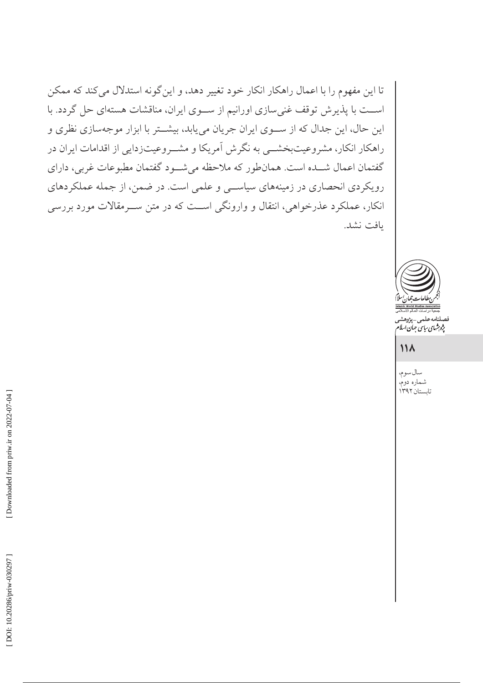تا این مفهوم را با اعمال راهکار انکار خود تغییر دهد، و این گونه استدلال میکند که ممکن اســت با پذیرش توقف غنی سازی اورانیم از ســوی ایران، مناقشات هستهای حل گردد. با این حال، این جدال که از سوی ایران جریان می یابد، بیشتر با ابزار موجهسازی نظری و راهکار انکار، مشروعیتبخشــی به نگرش آمریکا و مشــروعیتزدایی از اقدامات ایران در گفتمان اعمال شــده است. همانطور که ملاحظه میشــود گفتمان مطبوعات غربی، دارای رویکردی انحصاری در زمینههای سیاسی و علمی است. در ضمن، از جمله عملکردهای انکار، عملکرد عذرخواهی، انتقال و وارونگی است که در متن ســرمقالات مورد بررسی يافت نشد.



.<br>نامەعلمى\_پژوهش<sub>ى</sub> بژو شهای سایت جهان اسلام<br>بژو شهای سایت جهان اسلام

# $\mathcal{N}$

سال سوم، شماره دوم،<br>تابستان۱۳۹۲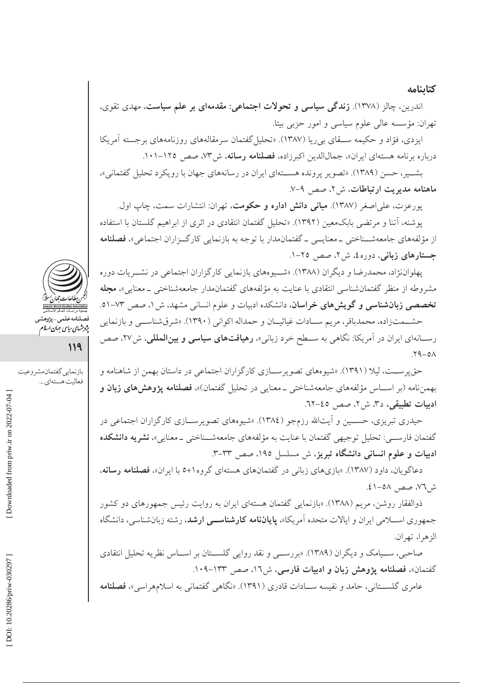#### كتابنامه

اندرین، چالز (۱۳۷۸). **زندگی سیاسی و تحولات اجتماعی: مقدمهای بر علم سیاست**، مهدی تقوی، تهران: مؤسسه عالی علوم سیاسی و امور حزبی بیتا.

ایزدی، فؤاد و حکیمه ســـقای بی ریا (۱۳۸۷). «تحلیل گفتمان سرمقالههای روزنامههای برجسته آمریکا درباره برنامه هستهای ایران»، جمالاللدین اکبرزاده، فصلنامه رسانه، ش۳۷، صص ۱۲۵-۱۰۱.

بشــير، حسن (١٣٨٩). «تصوير يرونده هســتهاي ايران در رسانههاي جهان با رويكرد تحليل گفتماني»، ماهنامه مديريت ارتباطات، ش٢، صص ٩-٧.

پورعزت، عل<sub>ی</sub>اصغر (۱۳۸۷). **مبانی دانش اداره و حکومت**، تهران: انتشارات سمت، چاپ اول. یوشنه، آتنا و مرتضی بابکمعین (۱۳۹۲). «تحلیل گفتمان انتقادی در اثری از ابراهیم گلستان با استفاده از مؤلفههای جامعهشــناختی ــ معنایـــی ــ گفتمان.مدار با توجه به بازنمایی کارگــزاران اجتماعی»، **فصلنامه** جستارهای زبانی، دوره٤، ش۲، صص ٢٥-١.

يهلواننژاد، محمدرضا و ديگران (١٣٨٨). «شــيو مهاي بازنمايي كارگزاران اجتماعي در نشــريات دوره مشروطه از منظر گفتمانشناسی انتقادی با عنایت به مؤلفههای گفتمانمدار جامعهشناختی ــ معنایی»، م**جله** تخصصی زبانشناسی و گویش های خراسان، دانشکده ادبیات و علوم انسانی مشهد، ش ۱، صص ۷۳-۵۱.

حشــمتزاده، محمدباقر، مريم ســادات غياثيــان و حمداله اكواني (١٣٩٠). «شرقشناســي و بازنمايي رســانهاي ايران در آمريكا: نگاهي به ســطح خرد زباني»، **رهيافتهاي سياسي و بينالمللي**، ش٢٧، صص  $Y9 - 0A$ 

حق پرســت، ليلا (١٣٩١). «شيوههاي تصويرســازي كارگزاران اجتماعي در داستان بهمن از شاهنامه و بهمننامه (بر اســاس مؤلفههاي جامعهشناختي \_معنايي در تحليل گفتمان)»، فصلنامه يژوهش هاي زبان و ادبيات تطبيقى، د٣، ش٢، صص ٤٥-٦٢.

حیدری تبریزی، حســین و أیتالله رزمجو (١٣٨٤). «شیوههای تصویرســازی کارگزاران اجتماعی در گفتمان فارســـي: تحليل توجيهي گفتمان با عنايت به مؤلفههاي جامعهشــناختي \_معنايي»، **نشريه دانشكده** ادبیات و علوم انسانی دانشگاه تبریز، ش مسلسل ۱۹۵، صص ۳۳–۳.

دعاگویان، داود (۱۳۸۷). «بازیهای زبانی در گفتمانهای هستهای گروه۱+۵ با ایران»، فصلنامه رسانه، ش ٧٦، صص ٥٨-٤١.

ذوالفقار روشن، مریم (۱۳۸۸). «بازنمایی گفتمان هستهای ایران به روایت رئیس جمهورهای دو کشور جمهوری اســـلامی ایران و ایالات متحده آمریکا»، **یایاننامه کارشناســـی ارشد**، رشته زبانشناسی، دانشگاه الزهرا، تهران.

صاحبی، ســيامک و ديگران (١٣٨٩). «بررســي و نقد روايي گلســتان بر اســاس نظريه تحليل انتقادي گفتمان»، فصلنامه یژوهش زبان و ادبیات فارسی، ش١٦، صص ١٣٣-١٠٩.

عامری گلســتانی، حامد و نفیسه ســادات قادری (۱۳۹۱). «نگاهی گفتمانی به اسلامهراسی»، فصلنامه



فصلنامەعلى<sub>م</sub>\_پ<sub>ژ</sub>وهش<sub>ى</sub><br>پژ*وہثهای بیای جمان اسلام* 

119

بازنمايي گفتمان مشروعيت فعاليت هستهاي ...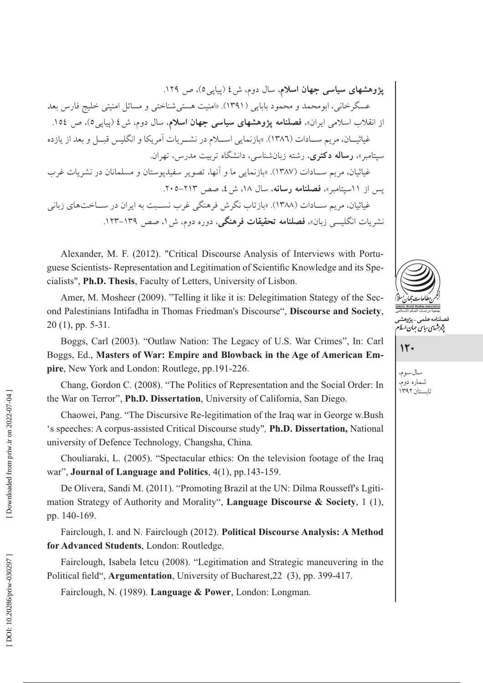یژوهشهای سیاسی جهان اسلام، سال دوم، ش ٤ (پیای<sub>ی</sub>٥)، ص ١٢٩. عسگرخانی، ابومحمد و محمود بابایی (۱۳۹۱). «امنیت هستیشناختی و مسائل امنیتی خلیج فارس بعد از انقلاب اسلامی ایران»، فصلنامه پژوهشهای سیاسی جهان اسلام، سال دوم، ش٤ (پیاپی٥)، ص ١٥٤. غياثيــان، مريم ســادات (١٣٨٦). «بازنمايي اســلام در نشــريات آمريكا و انگليس قبــل و بعد از يازده سپتامبر»، **رساله دکتری**، رشته زبانشناسی، دانشگاه تربیت مدرس، تهران. غباثیان، مر بم سـبادات (۱۳۸۷). «بازنمایی ما و آنها، تصویر سفیدیوستان و مسلمانان در نشریات غرب يس از ١١سيتامير»، فصلنامه رسانه، سال ١٨، ش ٤، صص ٢١٣-٢٠٥. غیاثیان، مریم سـادات (۱۳۸۸). «بازتاب نگرش فرهنگی غرب نسـبت به ایران در ســاختهای زبانی نشریات انگلیسی زبان»، **فصلنامه تحقیقات فرهنگی**، دوره دوم، ش ۱، صص ۱۳۹–۱۲۳.

Alexander, M. F. (2012). "Critical Discourse Analysis of Interviews with Portuguese Scientists-Representation and Legitimation of Scientific Knowledge and its Specialists", Ph.D. Thesis, Faculty of Letters, University of Lisbon.

Amer, M. Mosheer (2009). "Telling it like it is: Delegitimation Stategy of the Second Palestinians Intifadha in Thomas Friedman's Discourse", Discourse and Society,  $20(1)$ , pp. 5-31.

Boggs, Carl (2003). "Outlaw Nation: The Legacy of U.S. War Crimes", In: Carl Boggs, Ed., Masters of War: Empire and Blowback in the Age of American Empire, New York and London: Routlege, pp.191-226.

Chang, Gordon C. (2008). "The Politics of Representation and the Social Order: In the War on Terror", Ph.D. Dissertation, University of California, San Diego.

Chaowei, Pang. "The Discursive Re-legitimation of the Iraq war in George w.Bush 's speeches: A corpus-assisted Critical Discourse study", Ph.D. Dissertation, National university of Defence Technology, Changsha, China.

Chouliaraki, L. (2005). "Spectacular ethics: On the television footage of the Iraq war", Journal of Language and Politics, 4(1), pp.143-159.

De Olivera, Sandi M. (2011). "Promoting Brazil at the UN: Dilma Rousseff's Lgitimation Strategy of Authority and Morality", Language Discourse & Society, 1 (1), pp. 140-169.

Fairclough, I. and N. Fairclough (2012). Political Discourse Analysis: A Method for Advanced Students, London: Routledge.

Fairclough, Isabela Ietcu (2008). "Legitimation and Strategic maneuvering in the Political field", Argumentation, University of Bucharest, 22 (3), pp. 399-417.

Fairclough, N. (1989). Language & Power, London: Longman.



 $15.$ 

سال سوم، شماره دوم، تابستان ۱۳۹۲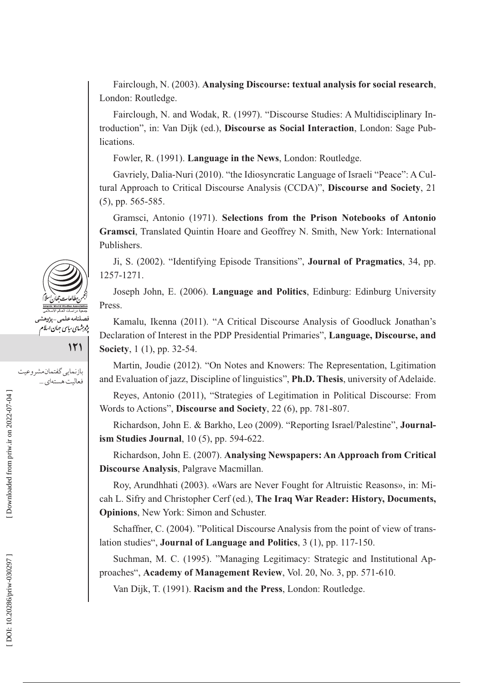Fairclough, N. (2003). **Analysing Discourse: textual analysis for social research**, London: Routledge.

Fairclough, N. and Wodak, R. (1997). "Discourse Studies: A Multidisciplinary Introduction", in: Van Dijk (ed.), **Discourse as Social Interaction**, London: Sage Publications.

Fowler, R. (1991). **Language in the News**, London: Routledge.

Gavriely, Dalia-Nuri (2010). "the Idiosyncratic Language of Israeli "Peace": A Cultural Approach to Critical Discourse Analysis (CCDA)", **Discourse and Society**, 21 (5), pp. 565-585.

Gramsci, Antonio (1971). **Selections from the Prison Notebooks of Antonio Gramsci**, Translated Quintin Hoare and Geoffrey N. Smith, New York: International Publishers.

Ji, S. (2002). "Identifying Episode Transitions", **Journal of Pragmatics**, 34, pp. 1257-1271.

Joseph John, E. (2006). **Language and Politics**, Edinburg: Edinburg University Press.

Kamalu, Ikenna (2011). "A Critical Discourse Analysis of Goodluck Jonathan's Declaration of Interest in the PDP Presidential Primaries", **Language, Discourse, and Society**, 1 (1), pp. 32-54.

Martin, Joudie (2012). "On Notes and Knowers: The Representation, Lgitimation and Evaluation of jazz, Discipline of linguistics", **Ph.D. Thesis**, university of Adelaide.

Reyes, Antonio (2011), "Strategies of Legitimation in Political Discourse: From Words to Actions", **Discourse and Society**, 22 (6), pp. 781-807.

Richardson, John E. & Barkho, Leo (2009). "Reporting Israel/Palestine", **Journalism Studies Journal**, 10 (5), pp. 594-622.

Richardson, John E. (2007). **Analysing Newspapers: An Approach from Critical Discourse Analysis**, Palgrave Macmillan.

Roy, Arundhhati (2003). «Wars are Never Fought for Altruistic Reasons», in: Micah L. Sifry and Christopher Cerf (ed.), **The Iraq War Reader: History, Documents, Opinions**, New York: Simon and Schuster.

Schaffner, C. (2004). "Political Discourse Analysis from the point of view of translation studies", **Journal of Language and Politics**, 3 (1), pp. 117-150.

Suchman, M. C. (1995). "Managing Legitimacy: Strategic and Institutional Approaches", **Academy of Management Review**, Vol. 20, No. 3, pp. 571-610.

Van Dijk, T. (1991). **Racism and the Press**, London: Routledge.



بازنمايي گفتمان مشروعيت **121** 

فعالیت هستهای ...

DOI: 10.20286/priw-030297